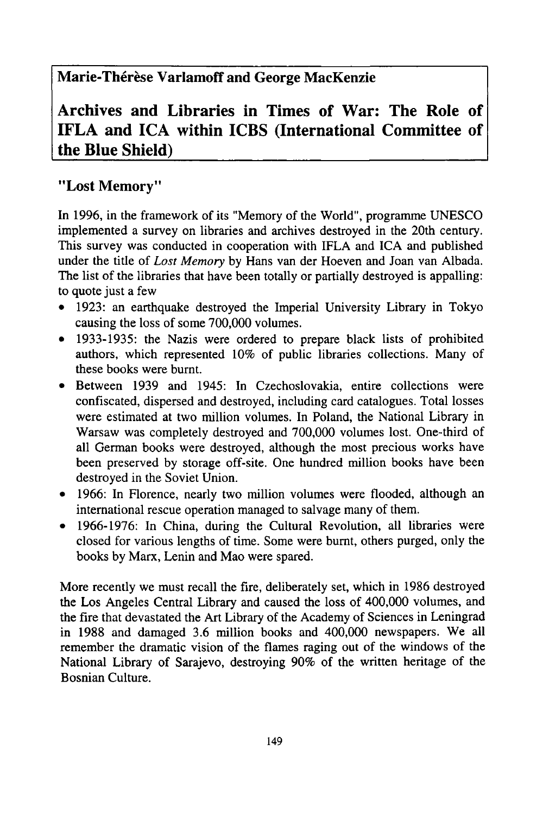### **Marie-Thérèse Varlamoff and George MacKenzie**

# **Archives and Libraries in Times of War: The Role of IFLA and ICA within ICBS (International Committee of the Blue Shield)**

# **"Lost Memory"**

In 1996, in the framework of its "Memory of the World", programme UNESCO implemented a survey on libraries and archives destroyed in the 20th century. This survey was conducted in cooperation with IFLA and ICA and published under the title of *Lost Memory* by Hans van der Hoeven and Joan van Albada. The list of the libraries that have been totally or partially destroyed is appalling: to quote just a few

- 1923: an earthquake destroyed the Imperial University Library in Tokyo causing the loss of some 700,000 volumes.
- 1933-1935: the Nazis were ordered to prepare black lists of prohibited authors, which represented 10% of public libraries collections. Many of these books were burnt.
- Between 1939 and 1945: In Czechoslovakia, entire collections were confiscated, dispersed and destroyed, including card catalogues. Total losses were estimated at two million volumes. In Poland, the National Library in Warsaw was completely destroyed and 700,000 volumes lost. One-third of all German books were destroyed, although the most precious works have been preserved by storage off-site. One hundred million books have been destroyed in the Soviet Union.
- 1966: In Florence, nearly two million volumes were flooded, although an international rescue operation managed to salvage many of them.
- 1966-1976: In China, during the Cultural Revolution, all libraries were closed for various lengths of time. Some were burnt, others purged, only the books by Marx, Lenin and Mao were spared.

More recently we must recall the fire, deliberately set, which in 1986 destroyed the Los Angeles Central Library and caused the loss of 400,000 volumes, and the fire that devastated the Art Library of the Academy of Sciences in Leningrad in 1988 and damaged 3.6 million books and 400,000 newspapers. We all remember the dramatic vision of the flames raging out of the windows of the National Library of Sarajevo, destroying 90% of the written heritage of the Bosnian Culture.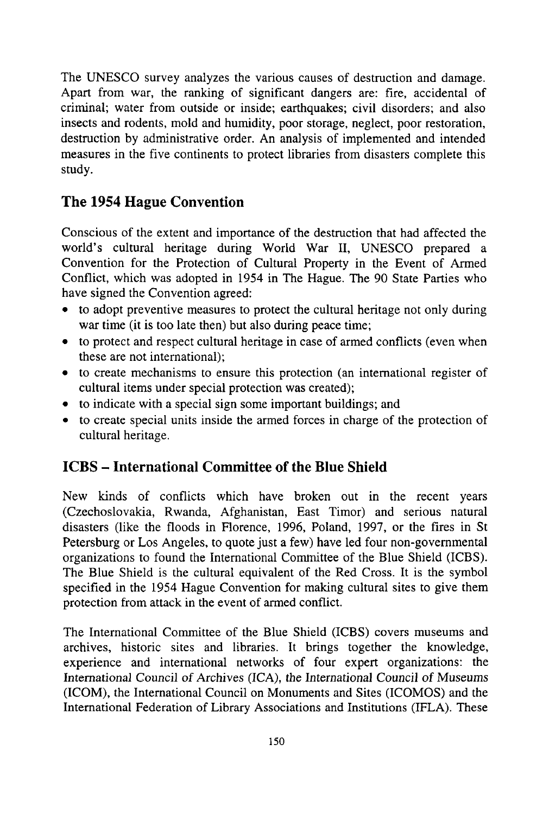The UNESCO survey analyzes the various causes of destruction and damage. Apart from war, the ranking of significant dangers are: fire, accidental of criminal; water from outside or inside; earthquakes; civil disorders; and also insects and rodents, mold and humidity, poor storage, neglect, poor restoration, destruction by administrative order. An analysis of implemented and intended measures in the five continents to protect libraries from disasters complete this study.

# **The 1954 Hague Convention**

Conscious of the extent and importance of the destruction that had affected the world's cultural heritage during World War II, UNESCO prepared a Convention for the Protection of Cultural Property in the Event of Armed Conflict, which was adopted in 1954 in The Hague. The 90 State Parties who have signed the Convention agreed:

- to adopt preventive measures to protect the cultural heritage not only during war time (it is too late then) but also during peace time;
- to protect and respect cultural heritage in case of armed conflicts (even when these are not international);
- to create mechanisms to ensure this protection (an international register of cultural items under special protection was created);
- to indicate with a special sign some important buildings; and
- to create special units inside the armed forces in charge of the protection of cultural heritage.

### **ICBS - International Committee of the Blue Shield**

New kinds of conflicts which have broken out in the recent years (Czechoslovakia, Rwanda, Afghanistan, East Timor) and serious natural disasters (like the floods in Florence, 1996, Poland, 1997, or the fires in St Petersburg or Los Angeles, to quote just a few) have led four non-governmental organizations to found the International Committee of the Blue Shield (ICBS). The Blue Shield is the cultural equivalent of the Red Cross. It is the symbol specified in the 1954 Hague Convention for making cultural sites to give them protection from attack in the event of armed conflict.

The International Committee of the Blue Shield (ICBS) covers museums and archives, historic sites and libraries. It brings together the knowledge, experience and international networks of four expert organizations: the International Council of Archives (ICA), the International Council of Museums (ICOM), the International Council on Monuments and Sites (ICOMOS) and the International Federation of Library Associations and Institutions (IFLA). These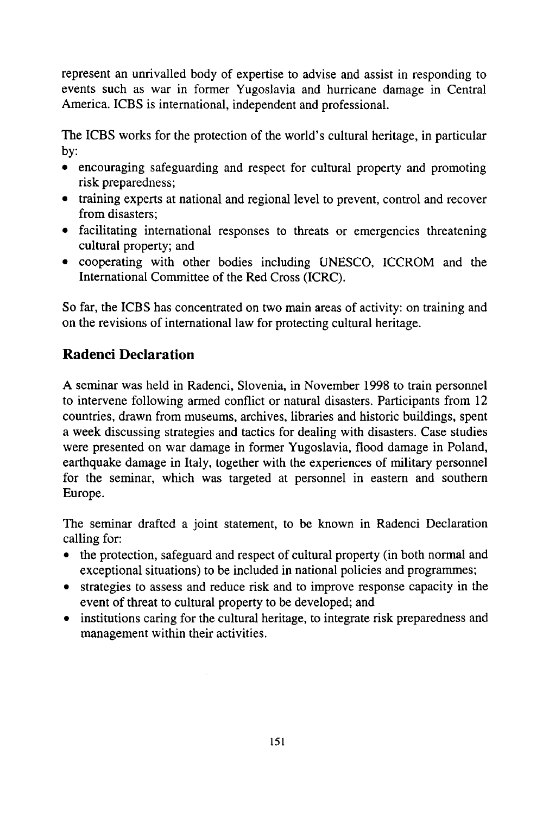represent an unrivalled body of expertise to advise and assist in responding to events such as war in former Yugoslavia and hurricane damage in Central America. ICBS is international, independent and professional.

The ICBS works for the protection of the world's cultural heritage, in particular by:

- encouraging safeguarding and respect for cultural property and promoting risk preparedness;
- training experts at national and regional level to prevent, control and recover from disasters;
- facilitating international responses to threats or emergencies threatening cultural property; and
- cooperating with other bodies including UNESCO, ICCROM and the International Committee of the Red Cross (ICRC).

So far, the ICBS has concentrated on two main areas of activity: on training and on the revisions of international law for protecting cultural heritage.

## **Radenci Declaration**

A seminar was held in Radenci, Slovenia, in November 1998 to train personnel to intervene following armed conflict or natural disasters. Participants from 12 countries, drawn from museums, archives, libraries and historic buildings, spent a week discussing strategies and tactics for dealing with disasters. Case studies were presented on war damage in former Yugoslavia, flood damage in Poland, earthquake damage in Italy, together with the experiences of military personnel for the seminar, which was targeted at personnel in eastern and southern Europe.

The seminar drafted a joint statement, to be known in Radenci Declaration calling for:

- the protection, safeguard and respect of cultural property (in both normal and exceptional situations) to be included in national policies and programmes;
- strategies to assess and reduce risk and to improve response capacity in the event of threat to cultural property to be developed; and
- institutions caring for the cultural heritage, to integrate risk preparedness and management within their activities.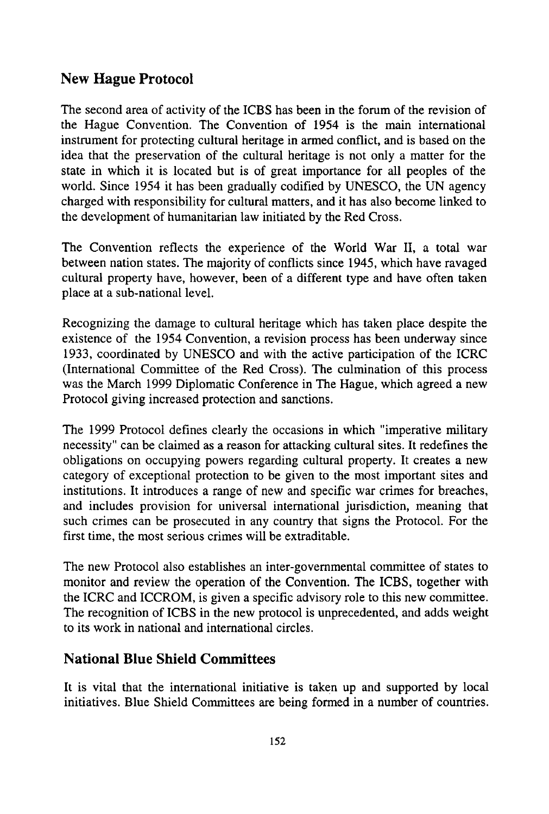#### **New Hague Protocol**

The second area of activity of the ICBS has been in the forum of the revision of the Hague Convention. The Convention of 1954 is the main international instrument for protecting cultural heritage in armed conflict, and is based on the idea that the preservation of the cultural heritage is not only a matter for the state in which it is located but is of great importance for all peoples of the world. Since 1954 it has been gradually codified by UNESCO, the UN agency charged with responsibility for cultural matters, and it has also become linked to the development of humanitarian law initiated by the Red Cross.

The Convention reflects the experience of the World War II, a total war between nation states. The majority of conflicts since 1945, which have ravaged cultural property have, however, been of a different type and have often taken place at a sub-national level.

Recognizing the damage to cultural heritage which has taken place despite the existence of the 1954 Convention, a revision process has been underway since 1933, coordinated by UNESCO and with the active participation of the ICRC (International Committee of the Red Cross). The culmination of this process was the March 1999 Diplomatic Conference in The Hague, which agreed a new Protocol giving increased protection and sanctions.

The 1999 Protocol defines clearly the occasions in which "imperative military necessity" can be claimed as a reason for attacking cultural sites. It redefines the obligations on occupying powers regarding cultural property. It creates a new category of exceptional protection to be given to the most important sites and institutions. It introduces a range of new and specific war crimes for breaches, and includes provision for universal international jurisdiction, meaning that such crimes can be prosecuted in any country that signs the Protocol. For the first time, the most serious crimes will be extraditable.

The new Protocol also establishes an inter-governmental committee of states to monitor and review the operation of the Convention. The ICBS, together with the ICRC and ICCROM, is given a specific advisory role to this new committee. The recognition of ICBS in the new protocol is unprecedented, and adds weight to its work in national and international circles.

#### **National Blue Shield Committees**

It is vital that the international initiative is taken up and supported by local initiatives. Blue Shield Committees are being formed in a number of countries.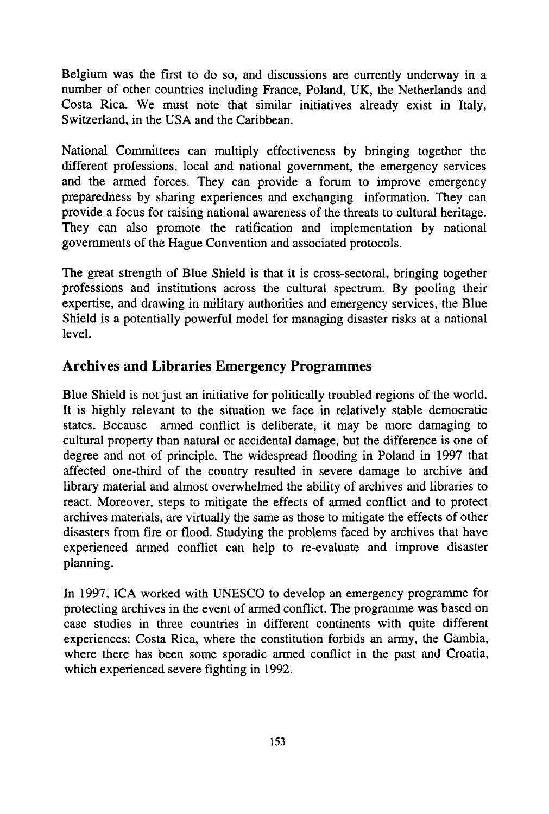Belgium was the first to do so, and discussions are currently underway in a number of other countries including France, Poland, UK, the Netherlands and Costa Rica. We must note that similar initiatives already exist in Italy, Switzerland, in the USA and the Caribbean.

National Committees can multiply effectiveness by bringing together the different professions, local and national government, the emergency services and the armed forces. They can provide a forum to improve emergency preparedness by sharing experiences and exchanging information. They can provide a focus for raising national awareness of the threats to cultural heritage. They can also promote the ratification and implementation by national governments of the Hague Convention and associated protocols.

The great strength of Blue Shield is that it is cross-sectoral, bringing together professions and institutions across the cultural spectrum. By pooling their expertise, and drawing in military authorities and emergency services, the Blue Shield is a potentially powerful model for managing disaster risks at a national level.

### **Archives and Libraries Emergency Programmes**

Blue Shield is not just an initiative for politically troubled regions of the world. It is highly relevant to the situation we face in relatively stable democratic states. Because armed conflict is deliberate, it may be more damaging to cultural property than natural or accidental damage, but the difference is one of degree and not of principle. The widespread flooding in Poland in 1997 that affected one-third of the country resulted in severe damage to archive and library material and almost overwhelmed the ability of archives and libraries to react. Moreover, steps to mitigate the effects of armed conflict and to protect archives materials, are virtually the same as those to mitigate the effects of other disasters from fire or flood. Studying the problems faced by archives that have experienced armed conflict can help to re-evaluate and improve disaster planning.

In 1997, ICA worked with UNESCO to develop an emergency programme for protecting archives in the event of armed conflict. The programme was based on case studies in three countries in different continents with quite different experiences: Costa Rica, where the constitution forbids an army, the Gambia, where there has been some sporadic armed conflict in the past and Croatia, which experienced severe fighting in 1992.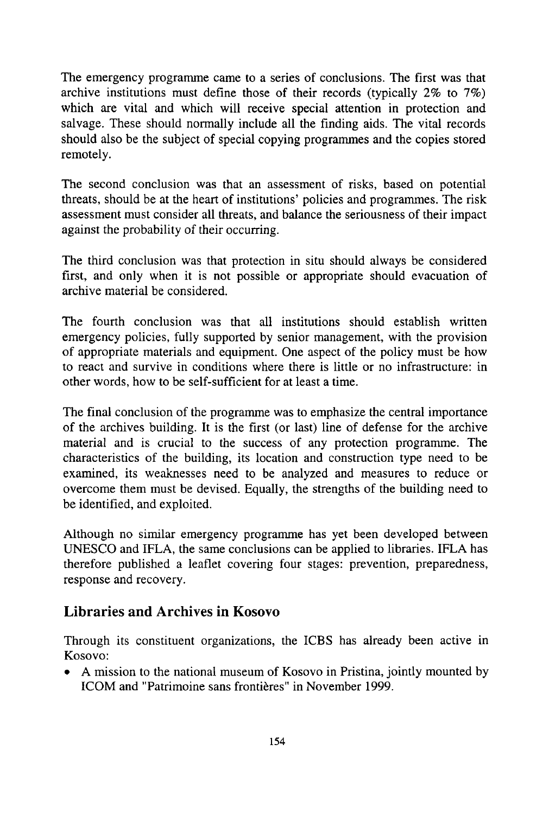The emergency programme came to a series of conclusions. The first was that archive institutions must define those of their records (typically 2% to 7%) which are vital and which will receive special attention in protection and salvage. These should normally include all the finding aids. The vital records should also be the subject of special copying programmes and the copies stored remotely.

The second conclusion was that an assessment of risks, based on potential threats, should be at the heart of institutions' policies and programmes. The risk assessment must consider all threats, and balance the seriousness of their impact against the probability of their occurring.

The third conclusion was that protection in situ should always be considered first, and only when it is not possible or appropriate should evacuation of archive material be considered.

The fourth conclusion was that all institutions should establish written emergency policies, fully supported by senior management, with the provision of appropriate materials and equipment. One aspect of the policy must be how to react and survive in conditions where there is little or no infrastructure: in other words, how to be self-sufficient for at least a time.

The final conclusion of the programme was to emphasize the central importance of the archives building. It is the first (or last) line of defense for the archive material and is crucial to the success of any protection programme. The characteristics of the building, its location and construction type need to be examined, its weaknesses need to be analyzed and measures to reduce or overcome them must be devised. Equally, the strengths of the building need to be identified, and exploited.

Although no similar emergency programme has yet been developed between UNESCO and IFLA, the same conclusions can be applied to libraries. IFLA has therefore published a leaflet covering four stages: prevention, preparedness, response and recovery.

#### **Libraries and Archives in Kosovo**

Through its constituent organizations, the ICBS has already been active in Kosovo:

• A mission to the national museum of Kosovo in Pristina, jointly mounted by ICOM and "Patrimoine sans frontières" in November 1999.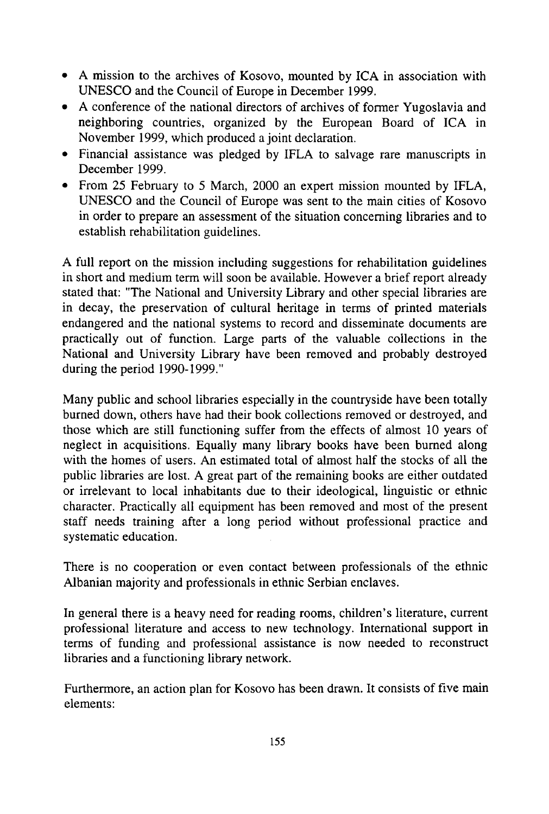- A mission to the archives of Kosovo, mounted by ICA in association with UNESCO and the Council of Europe in December 1999.
- A conference of the national directors of archives of former Yugoslavia and neighboring countries, organized by the European Board of ICA in November 1999, which produced a joint declaration.
- Financial assistance was pledged by IFLA to salvage rare manuscripts in December 1999.
- From 25 February to 5 March, 2000 an expert mission mounted by IFLA, UNESCO and the Council of Europe was sent to the main cities of Kosovo in order to prepare an assessment of the situation concerning libraries and to establish rehabilitation guidelines.

A full report on the mission including suggestions for rehabilitation guidelines in short and medium term will soon be available. However a brief report already stated that: "The National and University Library and other special libraries are in decay, the preservation of cultural heritage in terms of printed materials endangered and the national systems to record and disseminate documents are practically out of function. Large parts of the valuable collections in the National and University Library have been removed and probably destroyed during the period 1990-1999."

Many public and school libraries especially in the countryside have been totally burned down, others have had their book collections removed or destroyed, and those which are still functioning suffer from the effects of almost 10 years of neglect in acquisitions. Equally many library books have been burned along with the homes of users. An estimated total of almost half the stocks of all the public libraries are lost. A great part of the remaining books are either outdated or irrelevant to local inhabitants due to their ideological, linguistic or ethnic character. Practically all equipment has been removed and most of the present staff needs training after a long period without professional practice and systematic education.

There is no cooperation or even contact between professionals of the ethnic Albanian majority and professionals in ethnic Serbian enclaves.

In general there is a heavy need for reading rooms, children's literature, current professional literature and access to new technology. International support in terms of funding and professional assistance is now needed to reconstruct libraries and a functioning library network.

Furthermore, an action plan for Kosovo has been drawn. It consists of five main elements: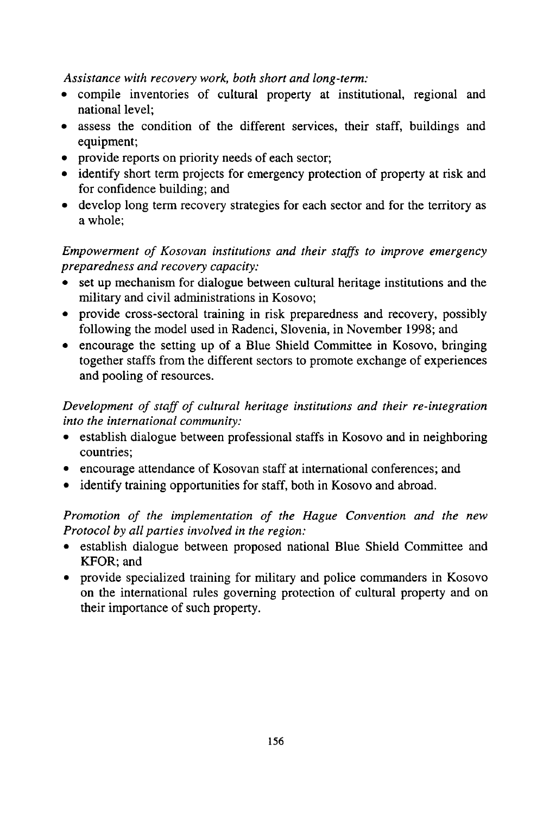*Assistance with recovery work, both short and long-term:* 

- compile inventories of cultural property at institutional, regional and national level;
- assess the condition of the different services, their staff, buildings and equipment;
- provide reports on priority needs of each sector;
- identify short term projects for emergency protection of property at risk and for confidence building; and
- develop long term recovery strategies for each sector and for the territory as a whole;

#### *Empowerment of Kosovan institutions and their staffs to improve emergency preparedness and recovery capacity:*

- set up mechanism for dialogue between cultural heritage institutions and the military and civil administrations in Kosovo;
- provide cross-sectoral training in risk preparedness and recovery, possibly following the model used in Radenci, Slovenia, in November 1998; and
- encourage the setting up of a Blue Shield Committee in Kosovo, bringing together staffs from the different sectors to promote exchange of experiences and pooling of resources.

#### *Development of staff of cultural heritage institutions and their re-integration into the international community:*

- establish dialogue between professional staffs in Kosovo and in neighboring countries;
- encourage attendance of Kosovan staff at international conferences; and
- identify training opportunities for staff, both in Kosovo and abroad.

*Promotion of the implementation of the Hague Convention and the new Protocol by all parties involved in the region:* 

- establish dialogue between proposed national Blue Shield Committee and KFOR; and
- provide specialized training for military and police commanders in Kosovo on the international rules governing protection of cultural property and on their importance of such property.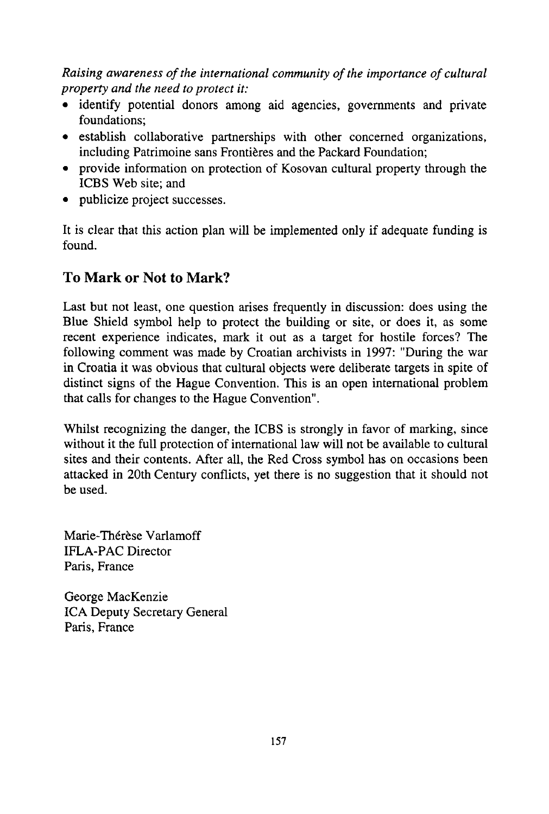*Raising awareness of the international community of the importance of cultural property and the need to protect it:* 

- identify potential donors among aid agencies, governments and private foundations;
- establish collaborative partnerships with other concerned organizations, including Patrimoine sans Frontières and the Packard Foundation;
- provide information on protection of Kosovan cultural property through the ICBS Web site; and
- publicize project successes.

It is clear that this action plan will be implemented only if adequate funding is found.

## **To Mark or Not to Mark?**

Last but not least, one question arises frequently in discussion: does using the Blue Shield symbol help to protect the building or site, or does it, as some recent experience indicates, mark it out as a target for hostile forces? The following comment was made by Croatian archivists in 1997: "During the war in Croatia it was obvious that cultural objects were deliberate targets in spite of distinct signs of the Hague Convention. This is an open international problem that calls for changes to the Hague Convention".

Whilst recognizing the danger, the ICBS is strongly in favor of marking, since without it the full protection of international law will not be available to cultural sites and their contents. After all, the Red Cross symbol has on occasions been attacked in 20th Century conflicts, yet there is no suggestion that it should not be used.

Marie-Thérèse Varlamoff IFLA-PAC Director Paris, France

George MacKenzie ICA Deputy Secretary General Paris, France